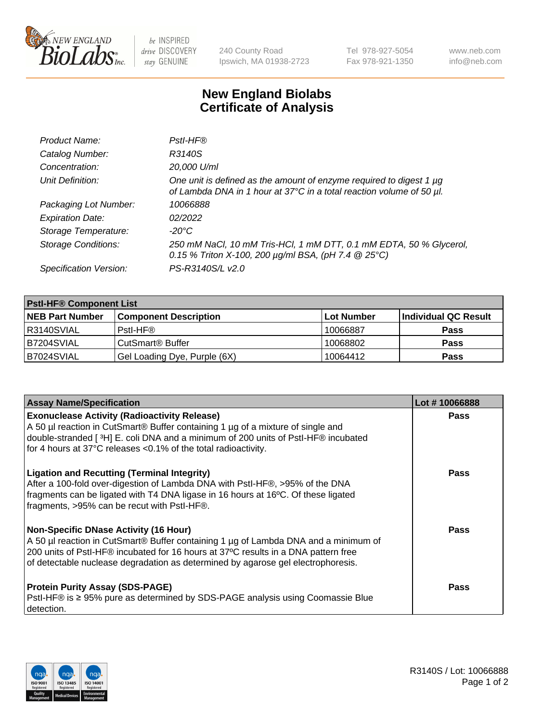

 $be$  INSPIRED drive DISCOVERY stay GENUINE

240 County Road Ipswich, MA 01938-2723 Tel 978-927-5054 Fax 978-921-1350 www.neb.com info@neb.com

## **New England Biolabs Certificate of Analysis**

| Product Name:              | Pstl-HF®                                                                                                                                             |
|----------------------------|------------------------------------------------------------------------------------------------------------------------------------------------------|
| Catalog Number:            | R3140S                                                                                                                                               |
| Concentration:             | 20,000 U/ml                                                                                                                                          |
| Unit Definition:           | One unit is defined as the amount of enzyme required to digest 1 µg<br>of Lambda DNA in 1 hour at 37°C in a total reaction volume of 50 µl.          |
| Packaging Lot Number:      | 10066888                                                                                                                                             |
| <b>Expiration Date:</b>    | 02/2022                                                                                                                                              |
| Storage Temperature:       | $-20^{\circ}$ C                                                                                                                                      |
| <b>Storage Conditions:</b> | 250 mM NaCl, 10 mM Tris-HCl, 1 mM DTT, 0.1 mM EDTA, 50 % Glycerol,<br>0.15 % Triton X-100, 200 $\mu$ g/ml BSA, (pH 7.4 $\textcircled{25}^{\circ}$ C) |
| Specification Version:     | PS-R3140S/L v2.0                                                                                                                                     |

| <b>Pstl-HF® Component List</b> |                              |            |                      |  |
|--------------------------------|------------------------------|------------|----------------------|--|
| <b>NEB Part Number</b>         | <b>Component Description</b> | Lot Number | Individual QC Result |  |
| IR3140SVIAL                    | Pstl-HF®                     | 10066887   | <b>Pass</b>          |  |
| IB7204SVIAL                    | CutSmart <sup>®</sup> Buffer | 10068802   | <b>Pass</b>          |  |
| B7024SVIAL                     | Gel Loading Dye, Purple (6X) | 10064412   | <b>Pass</b>          |  |

| <b>Assay Name/Specification</b>                                                                                                                                                                                                                                                                        | Lot #10066888 |
|--------------------------------------------------------------------------------------------------------------------------------------------------------------------------------------------------------------------------------------------------------------------------------------------------------|---------------|
| <b>Exonuclease Activity (Radioactivity Release)</b><br>A 50 µl reaction in CutSmart® Buffer containing 1 µg of a mixture of single and<br>double-stranded [3H] E. coli DNA and a minimum of 200 units of PstI-HF® incubated<br>for 4 hours at 37°C releases <0.1% of the total radioactivity.          | <b>Pass</b>   |
| <b>Ligation and Recutting (Terminal Integrity)</b><br>After a 100-fold over-digestion of Lambda DNA with PstI-HF®, >95% of the DNA<br>fragments can be ligated with T4 DNA ligase in 16 hours at 16°C. Of these ligated<br>fragments, >95% can be recut with PstI-HF®.                                 | Pass          |
| Non-Specific DNase Activity (16 Hour)<br>A 50 µl reaction in CutSmart® Buffer containing 1 µg of Lambda DNA and a minimum of<br>200 units of PstI-HF® incubated for 16 hours at 37°C results in a DNA pattern free<br>of detectable nuclease degradation as determined by agarose gel electrophoresis. | <b>Pass</b>   |
| <b>Protein Purity Assay (SDS-PAGE)</b><br>PstI-HF® is ≥ 95% pure as determined by SDS-PAGE analysis using Coomassie Blue<br>I detection.                                                                                                                                                               | <b>Pass</b>   |